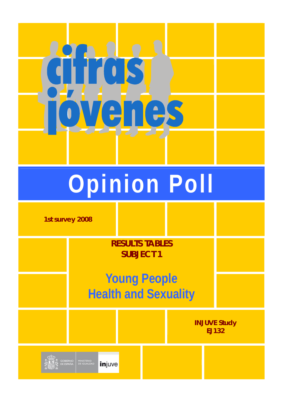

# **Opinion Poll**

**1st survey 2008** 

**RESULTS TABLES SUBJECT 1** 

# **Young People Health and Sexuality**

**INJUVE Study EJ132 MINISTERIO**<br>DE IGUALDAD injuve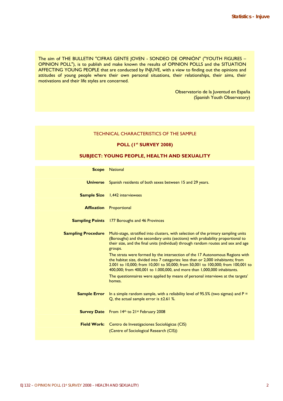The aim of THE BULLETIN "CIFRAS GENTE JOVEN - SONDEO DE OPINIÓN" ("YOUTH FIGURES – OPINION POLL"), is to publish and make known the results of OPINION POLLS and the SITUATION AFFECTING YOUNG PEOPLE that are conducted by INJUVE, with a view to finding out the opinions and attitudes of young people where their own personal situations, their relationships, their aims, their motivations and their life styles are concerned.

> Observatorio de la Juventud en España (Spanish Youth Observatory)

### TECHNICAL CHARACTERISTICS OF THE SAMPLE

# **POLL (1st SURVEY 2008)**

# **SUBJECT: YOUNG PEOPLE, HEALTH AND SEXUALITY**

| <b>Scope</b>              | <b>National</b>                                                                                                                                                                                                                                                                                                                                                                                                                                                                                                                |
|---------------------------|--------------------------------------------------------------------------------------------------------------------------------------------------------------------------------------------------------------------------------------------------------------------------------------------------------------------------------------------------------------------------------------------------------------------------------------------------------------------------------------------------------------------------------|
| <b>Universe</b>           | Spanish residents of both sexes between 15 and 29 years.                                                                                                                                                                                                                                                                                                                                                                                                                                                                       |
|                           | <b>Sample Size</b> 1,442 interviewees                                                                                                                                                                                                                                                                                                                                                                                                                                                                                          |
| <b>Affixation</b>         | Proportional                                                                                                                                                                                                                                                                                                                                                                                                                                                                                                                   |
| <b>Sampling Points</b>    | 177 Boroughs and 46 Provinces                                                                                                                                                                                                                                                                                                                                                                                                                                                                                                  |
| <b>Sampling Procedure</b> | Multi-stage, stratified into clusters, with selection of the primary sampling units<br>(Boroughs) and the secondary units (sections) with probability proportional to<br>their size, and the final units (individual) through random routes and sex and age<br>groups.<br>The strata were formed by the intersection of the 17 Autonomous Regions with<br>the habitat size, divided into 7 categories: less than or 2,000 inhabitants; from<br>2.001 to 10,000; from 10,001 to 50,000; from 50,001 to 100,000; from 100,001 to |
|                           | 400,000; from 400,001 to 1.000,000, and more than 1,000,000 inhabitants.<br>The questionnaires were applied by means of personal interviews at the targets'<br>homes.                                                                                                                                                                                                                                                                                                                                                          |
| <b>Sample Error</b>       | In a simple random sample, with a reliability level of 95.5% (two sigmas) and $P =$<br>Q, the actual sample error is $\pm 2.61$ %.                                                                                                                                                                                                                                                                                                                                                                                             |
|                           | <b>Survey Date</b> From 14th to 21st February 2008                                                                                                                                                                                                                                                                                                                                                                                                                                                                             |
|                           | Field Work: Centro de Investigaciones Sociológicas (CIS)<br>(Centre of Sociological Research (CIS))                                                                                                                                                                                                                                                                                                                                                                                                                            |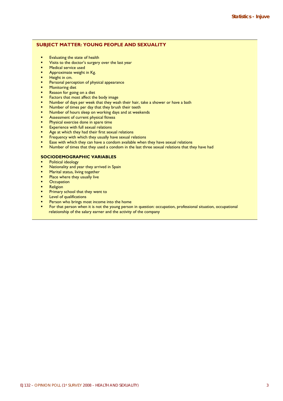# **SUBJECT MATTER: YOUNG PEOPLE AND SEXUALITY**

- Evaluating the state of health
- Visits to the doctor's surgery over the last year
- Medical service used
- Approximate weight in Kg.
- Height in cm.
- Personal perception of physical appearance
- Monitoring diet
- Reason for going on a diet
- Factors that most affect the body image
- Number of days per week that they wash their hair, take a shower or have a bath
- Number of times per day that they brush their teeth
- Number of hours sleep on working days and at weekends
- Assessment of current physical fitness
- Physical exercise done in spare time
- Experience with full sexual relations
- Age at which they had their first sexual relations
- Frequency with which they usually have sexual relations
- Ease with which they can have a condom available when they have sexual relations
- Number of times that they used a condom in the last three sexual relations that they have had

# **SOCIODEMOGRAPHIC VARIABLES**

- Political ideology
- Nationality and year they arrived in Spain
- Marital status, living together
- Place where they usually live
- **Occupation**
- **Religion**
- Primary school that they went to
- Level of qualifications
- Person who brings most income into the home
- For that person when it is not the young person in question: occupation, professional situation, occupational relationship of the salary earner and the activity of the company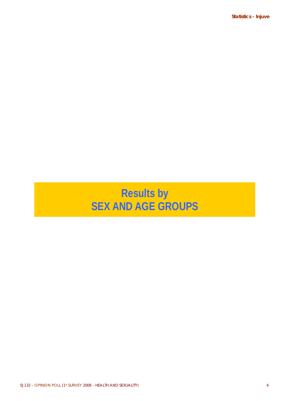**Statistics - Injuve** 

# **Results by SEX AND AGE GROUPS**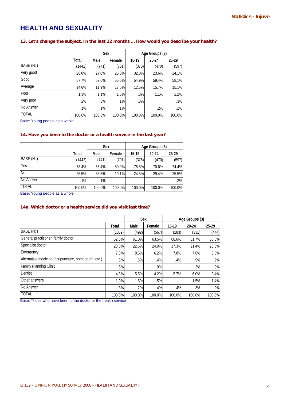# **HEALTH AND SEXUALITY**

# **13. Let's change the subject. In the last 12 months ... How would you describe your health?**

|              |        | Sex    |        | Age Groups (3) |        |        |
|--------------|--------|--------|--------|----------------|--------|--------|
|              | Total  | Male   | Female | $15 - 19$      | 20-24  | 25-29  |
| BASE (N:)    | (1442) | (741)  | (701)  | (375)          | (470)  | (597)  |
| Very good    | 26.0%  | 27.0%  | 25.0%  | 32.0%          | 23.6%  | 24.1%  |
| Good         | 57.7%  | 59.6%  | 55.6%  | 54.9%          | 59.4%  | 58.1%  |
| Average      | 14.6%  | 11.9%  | 17.5%  | 12.5%          | 15.7%  | 15.1%  |
| Poor         | 1.3%   | 1.1%   | 1.6%   | .3%            | 1.1%   | 2.2%   |
| Very poor    | .2%    | .3%    | .1%    | .3%            |        | .3%    |
| No Answer    | .1%    | .1%    | .1%    |                | .2%    | .2%    |
| <b>TOTAL</b> | 100.0% | 100.0% | 100.0% | 100.0%         | 100.0% | 100.0% |

Base: Young people as a whole

# **14. Have you been to the doctor or a health service in the last year?**

|                |        |        | <b>Sex</b> | Age Groups (3) |        |        |  |  |
|----------------|--------|--------|------------|----------------|--------|--------|--|--|
|                | Total  | Male   | Female     | 15-19          | 20-24  | 25-29  |  |  |
| BASE (N:)      | (1442) | (741)  | (701)      | (375)          | (470)  | (597)  |  |  |
| Yes            | 73.4%  | 66.4%  | 80.9%      | 75.5%          | 70.6%  | 74.4%  |  |  |
| N <sub>o</sub> | 26.5%  | 33.5%  | 19.1%      | 24.5%          | 29.4%  | 25.5%  |  |  |
| No Answer      | $.1\%$ | .1%    |            |                |        | .2%    |  |  |
| <b>TOTAL</b>   | 100.0% | 100.0% | 100.0%     | 100.0%         | 100.0% | 100.0% |  |  |

Base: Young people as a whole

# **14a. Which doctor or a health service did you visit last time?**

|                                                     |        |        | Sex    |        | Age Groups (3) |        |
|-----------------------------------------------------|--------|--------|--------|--------|----------------|--------|
|                                                     | Total  | Male   | Female | 15-19  | 20-24          | 25-29  |
| BASE (N:)                                           | (1059) | (492)  | (567)  | (283)  | (332)          | (444)  |
| General practitioner, family doctor                 | 62.3%  | 61.0%  | 63.5%  | 68.6%  | 61.7%          | 58.8%  |
| Specialist doctor                                   | 23.3%  | 22.6%  | 24.0%  | 17.3%  | 21.4%          | 28.6%  |
| Emergency                                           | 7.3%   | 8.5%   | 6.2%   | 7.8%   | 7.8%           | 6.5%   |
| Alternative medicine (acupuncture, homeopath, etc.) | .5%    | $.6\%$ | .4%    | .4%    | .9%            | $.2\%$ |
| Family Planning Clinic                              | .5%    |        | .9%    |        | .3%            | .9%    |
| Dentist                                             | 4.8%   | 5.5%   | 4.2%   | 5.7%   | 6.0%           | 3.4%   |
| Other answers                                       | 1.0%   | 1.6%   | .5%    |        | 1.5%           | 1.4%   |
| No Answer                                           | .3%    | .2%    | .4%    | .4%    | .3%            | $.2\%$ |
| <b>TOTAL</b>                                        | 100.0% | 100.0% | 100.0% | 100.0% | 100.0%         | 100.0% |

Base: Those who have been to the doctor or the health service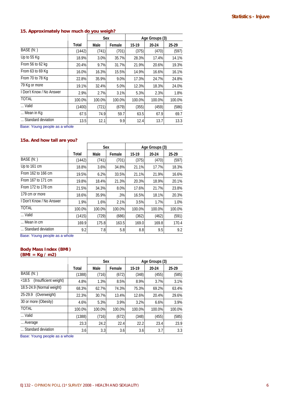# **15. Approximately how much do you weigh?**

|                          |        |        | Sex    |        | Age Groups (3) |        |
|--------------------------|--------|--------|--------|--------|----------------|--------|
|                          | Total  | Male   | Female | 15-19  | 20-24          | 25-29  |
| BASE (N:)                | (1442) | (741)  | (701)  | (375)  | (470)          | (597)  |
| Up to 55 Kg              | 18.9%  | 3.0%   | 35.7%  | 28.3%  | 17.4%          | 14.1%  |
| From 56 to 62 kg         | 20.4%  | 9.7%   | 31.7%  | 21.9%  | 20.6%          | 19.3%  |
| From 63 to 69 Kg         | 16.0%  | 16.3%  | 15.5%  | 14.9%  | 16.6%          | 16.1%  |
| From 70 to 78 Kg         | 22.8%  | 35.9%  | 9.0%   | 17.3%  | 24.7%          | 24.8%  |
| 79 Kg or more            | 19.1%  | 32.4%  | 5.0%   | 12.3%  | 18.3%          | 24.0%  |
| I Don't Know / No Answer | 2.9%   | 2.7%   | 3.1%   | 5.3%   | 2.3%           | 1.8%   |
| <b>TOTAL</b>             | 100.0% | 100.0% | 100.0% | 100.0% | 100.0%         | 100.0% |
| Valid                    | (1400) | (721)  | (679)  | (355)  | (459)          | (586)  |
| Mean in Kg               | 67.5   | 74.9   | 59.7   | 63.5   | 67.9           | 69.7   |
| Standard deviation       | 13.5   | 12.1   | 9.9    | 12.4   | 13.7           | 13.3   |

Base: Young people as a whole

## **15a. And how tall are you?**

|                          |        | Sex    |        |           | Age Groups (3) |        |
|--------------------------|--------|--------|--------|-----------|----------------|--------|
|                          | Total  | Male   | Female | $15 - 19$ | 20-24          | 25.29  |
| BASE (N:)                | (1442) | (741)  | (701)  | (375)     | (470)          | (597)  |
| Up to 161 cm             | 18.8%  | 3.6%   | 34.8%  | 21.1%     | 17.7%          | 18.3%  |
| From 162 to 166 cm       | 19.5%  | 6.2%   | 33.5%  | 21.1%     | 21.9%          | 16.6%  |
| From 167 to 171 cm       | 19.8%  | 18.4%  | 21.3%  | 20.3%     | 18.9%          | 20.1%  |
| From 172 to 178 cm       | 21.5%  | 34.3%  | 8.0%   | 17.6%     | 21.7%          | 23.8%  |
| 179 cm or more           | 18.6%  | 35.9%  | .3%    | 16.5%     | 18.1%          | 20.3%  |
| I Don't Know / No Answer | 1.9%   | 1.6%   | 2.1%   | 3.5%      | 1.7%           | 1.0%   |
| <b>TOTAL</b>             | 100.0% | 100.0% | 100.0% | 100.0%    | 100.0%         | 100.0% |
| Valid                    | (1415) | (729)  | (686)  | (362)     | (462)          | (591)  |
| Mean in cm               | 169.9  | 175.8  | 163.5  | 169.0     | 169.8          | 170.4  |
| Standard deviation       | 9.2    | 7.8    | 5.8    | 8.8       | 9.5            | 9.2    |

Base: Young people as a whole

# **Body Mass Index (BMI)**

**(BMI = Kg / m2)** 

|                                 |        | Sex    |        |        | Age Groups (3) |        |  |
|---------------------------------|--------|--------|--------|--------|----------------|--------|--|
|                                 | Total  | Male   | Female | 15-19  | 20-24          | 25-29  |  |
| BASE (N:)                       | (1388) | (716)  | (672)  | (348)  | (455)          | (585)  |  |
| (Insufficient weight)<br>< 18.5 | 4.8%   | 1.3%   | 8.5%   | 8.9%   | 3.7%           | 3.1%   |  |
| 18.5-24.9 (Normal weight)       | 68.3%  | 62.7%  | 74.3%  | 75.3%  | 69.2%          | 63.4%  |  |
| (Overweight)<br>25-29.9         | 22.3%  | 30.7%  | 13.4%  | 12.6%  | 20.4%          | 29.6%  |  |
| 30 or more (Obesity)            | 4.6%   | 5.3%   | 3.9%   | 3.2%   | 6.6%           | 3.9%   |  |
| <b>TOTAL</b>                    | 100.0% | 100.0% | 100.0% | 100.0% | 100.0%         | 100.0% |  |
| Valid                           | (1388) | (716)  | (672)  | (348)  | (455)          | (585)  |  |
| Average                         | 23.3   | 24.2   | 22.4   | 22.2   | 23.4           | 23.9   |  |
| Standard deviation              | 3.6    | 3.3    | 3.6    | 3.6    | 3.7            | 3.3    |  |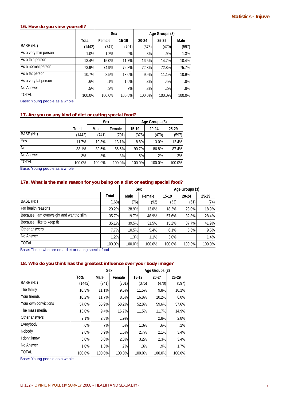# **16. How do you view yourself?**

|                       |        | Sex    |        |        | Age Groups (3) |        |  |
|-----------------------|--------|--------|--------|--------|----------------|--------|--|
|                       | Total  | Female | 15-19  | 20-24  | $25 - 29$      | Male   |  |
| BASE (N:)             | (1442) | (741)  | (701)  | (375)  | (470)          | (597)  |  |
| As a very thin person | 1.0%   | 1.2%   | .9%    | .8%    | $.9\%$         | 1.3%   |  |
| As a thin person      | 13.4%  | 15.0%  | 11.7%  | 16.5%  | 14.7%          | 10.4%  |  |
| As a normal person    | 73.9%  | 74.9%  | 72.8%  | 72.3%  | 72.8%          | 75.7%  |  |
| As a fat person       | 10.7%  | 8.5%   | 13.0%  | 9.9%   | 11.1%          | 10.9%  |  |
| As a very fat person  | .6%    | $.1\%$ | 1.0%   | .3%    | .4%            | $.8\%$ |  |
| No Answer             | .5%    | .3%    | $.7\%$ | .3%    | .2%            | $.8\%$ |  |
| <b>TOTAL</b>          | 100.0% | 100.0% | 100.0% | 100.0% | 100.0%         | 100.0% |  |

Base: Young people as a whole

# **17. Are you on any kind of diet or eating special food?**

|              |        | Sex    |        | Age Groups (3) |        |        |  |
|--------------|--------|--------|--------|----------------|--------|--------|--|
|              | Total  | Male   | Female | 15-19          | 20-24  | 25 29  |  |
| BASE (N:)    | (1442) | (741)  | (701)  | (375)          | (470)  | (597)  |  |
| Yes          | 11.7%  | 10.3%  | 13.1%  | 8.8%           | 13.0%  | 12.4%  |  |
| <b>No</b>    | 88.1%  | 89.5%  | 86.6%  | 90.7%          | 86.8%  | 87.4%  |  |
| No Answer    | .3%    | .3%    | $.3\%$ | .5%            | .2%    | $.2\%$ |  |
| <b>TOTAL</b> | 100.0% | 100.0% | 100.0% | 100.0%         | 100.0% | 100.0% |  |

Base: Young people as a whole

# **17a. What is the main reason for you being on a diet or eating special food?**

|                                          |        |        | Sex    |           | Age Groups (3) |        |
|------------------------------------------|--------|--------|--------|-----------|----------------|--------|
|                                          | Total  | Male   | Female | $15 - 19$ | 20-24          | 25-29  |
| BASE (N: )                               | (168)  | (76)   | (92)   | (33)      | (61)           | (74)   |
| For health reasons                       | 20.2%  | 28.9%  | 13.0%  | 18.2%     | 23.0%          | 18.9%  |
| Because I am overweight and want to slim | 35.7%  | 19.7%  | 48.9%  | 57.6%     | 32.8%          | 28.4%  |
| Because I like to keep fit               | 35.1%  | 39.5%  | 31.5%  | 15.2%     | 37.7%          | 41.9%  |
| Other answers                            | 7.7%   | 10.5%  | 5.4%   | 6.1%      | 6.6%           | 9.5%   |
| No Answer                                | 1.2%   | 1.3%   | 1.1%   | 3.0%      |                | 1.4%   |
| <b>TOTAL</b>                             | 100.0% | 100.0% | 100.0% | 100.0%    | 100.0%         | 100.0% |

Base: Those who are on a diet or eating special food

# **18. Who do you think has the greatest influence over your body image?**

|                      |        | Sex    |        | Age Groups (3) |        |        |  |
|----------------------|--------|--------|--------|----------------|--------|--------|--|
|                      | Total  | Male   | Female | 15-19          | 20-24  | 25-29  |  |
| BASE (N:)            | (1442) | (741)  | (701)  | (375)          | (470)  | (597)  |  |
| The family           | 10.3%  | 11.1%  | 9.6%   | 11.5%          | 9.8%   | 10.1%  |  |
| Your friends         | 10.2%  | 11.7%  | 8.6%   | 16.8%          | 10.2%  | 6.0%   |  |
| Your own convictions | 57.0%  | 55.9%  | 58.2%  | 52.8%          | 59.6%  | 57.6%  |  |
| The mass media       | 13.0%  | 9.4%   | 16.7%  | 11.5%          | 11.7%  | 14.9%  |  |
| Other answers        | 2.1%   | 2.3%   | 1.9%   |                | 2.8%   | 2.8%   |  |
| Everybody            | .6%    | .7%    | $.6\%$ | 1.3%           | $.6\%$ | $.2\%$ |  |
| Nobody               | 2.8%   | 3.9%   | 1.6%   | 2.7%           | 2.1%   | 3.4%   |  |
| I don't know         | 3.0%   | 3.6%   | 2.3%   | 3.2%           | 2.3%   | 3.4%   |  |
| No Answer            | 1.0%   | 1.3%   | .7%    | .3%            | .9%    | 1.7%   |  |
| <b>TOTAL</b>         | 100.0% | 100.0% | 100.0% | 100.0%         | 100.0% | 100.0% |  |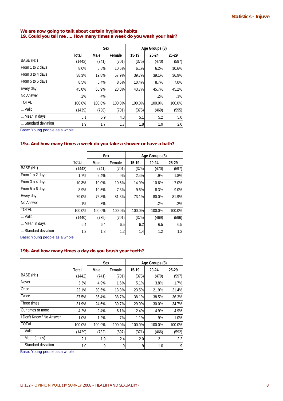## **We are now going to talk about certain hygiene habits 19. Could you tell me .... How many times a week do you wash your hair?**

|                    |        | Sex    |        | Age Groups (3) |        |        |  |
|--------------------|--------|--------|--------|----------------|--------|--------|--|
|                    | Total  | Male   | Female | 15-19          | 20-24  | 25-29  |  |
| BASE (N:)          | (1442) | (741)  | (701)  | (375)          | (470)  | (597)  |  |
| From 1 to 2 days   | 8.0%   | 5.5%   | 10.6%  | 6.1%           | 6.2%   | 10.6%  |  |
| From 3 to 4 days   | 38.3%  | 19.8%  | 57.9%  | 39.7%          | 39.1%  | 36.9%  |  |
| From 5 to 6 days   | 8.5%   | 8.4%   | 8.6%   | 10.4%          | 8.7%   | 7.0%   |  |
| Every day          | 45.0%  | 65.9%  | 23.0%  | 43.7%          | 45.7%  | 45.2%  |  |
| No Answer          | .2%    | .4%    |        |                | $.2\%$ | .3%    |  |
| TOTAL              | 100.0% | 100.0% | 100.0% | 100.0%         | 100.0% | 100.0% |  |
| Valid              | (1439) | (738)  | (701)  | (375)          | (469)  | (595)  |  |
| Mean in days       | 5.1    | 5.9    | 4.3    | 5.1            | 5.2    | 5.0    |  |
| Standard deviation | 1.9    | 1.7    | 1.7    | 1.8            | 1.9    | 2.0    |  |

Base: Young people as a whole

# **19a. And how many times a week do you take a shower or have a bath?**

|                    |                      | <b>Sex</b> |        | Age Groups (3) |        |        |
|--------------------|----------------------|------------|--------|----------------|--------|--------|
|                    | Total                | Male       | Female | 15-19          | 20-24  | 25-29  |
| BASE (N:)          | (1442)               | (741)      | (701)  | (375)          | (470)  | (597)  |
| From 1 a 2 days    | 1.7%                 | 2.4%       | .9%    | 2.4%           | .9%    | 1.8%   |
| From 3 a 4 days    | 10.3%                | 10.0%      | 10.6%  | 14.9%          | 10.6%  | 7.0%   |
| From 5 a 6 days    | 8.9%                 | 10.5%      | 7.3%   | 9.6%           | 8.3%   | 9.0%   |
| Every day          | 79.0%                | 76.8%      | 81.3%  | 73.1%          | 80.0%  | 81.9%  |
| No Answer          | .1%                  | .3%        |        |                | .2%    | $.2\%$ |
| <b>TOTAL</b>       | 100.0%               | 100.0%     | 100.0% | 100.0%         | 100.0% | 100.0% |
| Valid              | (1440)               | (739)      | (701)  | (375)          | (469)  | (596)  |
| Mean in days       | 6.4                  | 6.4        | 6.5    | 6.2            | 6.5    | 6.5    |
| Standard deviation | 1.2<br>$\sim$ $\sim$ | 1.3        | 1.2    | 1.4            | 1.2    | 1.2    |

Base: Young people as a whole

## **19b. And how many times a day do you brush your teeth?**

|                          |        |        | <b>Sex</b> | Age Groups (3) |        |        |
|--------------------------|--------|--------|------------|----------------|--------|--------|
|                          | Total  | Male   | Female     | 15-19          | 20-24  | 25-29  |
| BASE (N:)                | (1442) | (741)  | (701)      | (375)          | (470)  | (597)  |
| Never                    | 3.3%   | 4.9%   | 1.6%       | 5.1%           | 3.8%   | 1.7%   |
| Once                     | 22.1%  | 30.5%  | 13.3%      | 23.5%          | 21.9%  | 21.4%  |
| Twice                    | 37.5%  | 36.4%  | 38.7%      | 38.1%          | 38.5%  | 36.3%  |
| Three times              | 31.9%  | 24.6%  | 39.7%      | 29.9%          | 30.0%  | 34.7%  |
| Our times or more        | 4.2%   | 2.4%   | 6.1%       | 2.4%           | 4.9%   | 4.9%   |
| I Don't Know / No Answer | 1.0%   | 1.2%   | .7%        | 1.1%           | .9%    | 1.0%   |
| <b>TOTAL</b>             | 100.0% | 100.0% | 100.0%     | 100.0%         | 100.0% | 100.0% |
| Valid                    | (1429) | (732)  | (697)      | (371)          | (466)  | (592)  |
| Mean (times)             | 2.1    | 1.9    | 2.4        | 2.0            | 2.1    | 2.2    |
| Standard deviation       | 1.0    | .9     | .9         | .9             | 1.0    | .9     |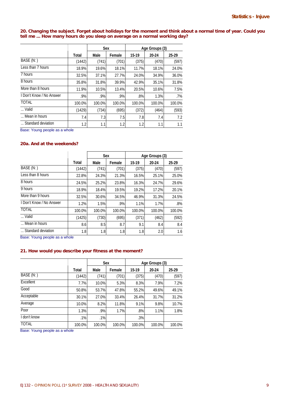**20. Changing the subject. Forget about holidays for the moment and think about a normal time of year. Could you tell me ... How many hours do you sleep on average on a normal working day?** 

|                          |        | <b>Sex</b> |        | Age Groups (3) |        |        |
|--------------------------|--------|------------|--------|----------------|--------|--------|
|                          | Total  | Male       | Female | 15-19          | 20-24  | 25-29  |
| BASE (N:)                | (1442) | (741)      | (701)  | (375)          | (470)  | (597)  |
| Less than 7 hours        | 18.9%  | 19.6%      | 18.1%  | 11.7%          | 18.1%  | 24.0%  |
| 7 hours                  | 32.5%  | 37.1%      | 27.7%  | 24.0%          | 34.9%  | 36.0%  |
| 8 hours                  | 35.8%  | 31.8%      | 39.9%  | 42.9%          | 35.1%  | 31.8%  |
| More than 8 hours        | 11.9%  | 10.5%      | 13.4%  | 20.5%          | 10.6%  | 7.5%   |
| I Don't Know / No Answer | .9%    | .9%        | $.9\%$ | .8%            | 1.3%   | $.7\%$ |
| <b>TOTAL</b>             | 100.0% | 100.0%     | 100.0% | 100.0%         | 100.0% | 100.0% |
| Valid                    | (1429) | (734)      | (695)  | (372)          | (464)  | (593)  |
| Mean in hours            | 7.4    | 7.3        | 7.5    | 7.8            | 7.4    | 7.2    |
| Standard deviation       | 1.2    | 1.1        | 1.2    | 1.2            | 1.1    | 1.1    |

Base: Young people as a whole

# **20a. And at the weekends?**

|                          |            | <b>Sex</b> |        | Age Groups (3) |        |        |
|--------------------------|------------|------------|--------|----------------|--------|--------|
|                          | Total      | Male       | Female | $15 - 19$      | 20-24  | 25 29  |
| BASE (N:)                | (1442)     | (741)      | (701)  | (375)          | (470)  | (597)  |
| Less than 8 hours        | 22.8%      | 24.3%      | 21.3%  | 16.5%          | 25.1%  | 25.0%  |
| 8 hours                  | 24.5%      | 25.2%      | 23.8%  | 16.3%          | 24.7%  | 29.6%  |
| 9 hours                  | 18.9%      | 18.4%      | 19.5%  | 19.2%          | 17.2%  | 20.1%  |
| More than 9 hours        | 32.5%      | 30.6%      | 34.5%  | 46.9%          | 31.3%  | 24.5%  |
| I Don't Know / No Answer | 1.2%       | 1.5%       | .9%    | 1.1%           | 1.7%   | $.8\%$ |
| <b>TOTAL</b>             | 100.0%     | 100.0%     | 100.0% | 100.0%         | 100.0% | 100.0% |
| Valid                    | (1425)     | (730)      | (695)  | (371)          | (462)  | (592)  |
| Mean in hours            | 8.6        | 8.5        | 8.7    | 9.1            | 8.4    | 8.4    |
| Standard deviation       | 1.8<br>. . | 1.8        | 1.8    | 1.8            | 2.0    | 1.6    |

Base: Young people as a whole

# **21. How would you describe your fitness at the moment?**

|              |        | <b>Sex</b> |        | Age Groups (3) |        |        |
|--------------|--------|------------|--------|----------------|--------|--------|
|              | Total  | Male       | Female | 15-19          | 20-24  | 25-29  |
| BASE (N:)    | (1442) | (741)      | (701)  | (375)          | (470)  | (597)  |
| Excellent    | 7.7%   | 10.0%      | 5.3%   | 8.3%           | 7.9%   | 7.2%   |
| Good         | 50.8%  | 53.7%      | 47.8%  | 55.2%          | 49.6%  | 49.1%  |
| Acceptable   | 30.1%  | 27.0%      | 33.4%  | 26.4%          | 31.7%  | 31.2%  |
| Average      | 10.0%  | 8.2%       | 11.8%  | 9.1%           | 9.8%   | 10.7%  |
| Poor         | 1.3%   | .9%        | 1.7%   | .8%            | 1.1%   | 1.8%   |
| I don't know | .1%    | .1%        |        | .3%            |        |        |
| <b>TOTAL</b> | 100.0% | 100.0%     | 100.0% | 100.0%         | 100.0% | 100.0% |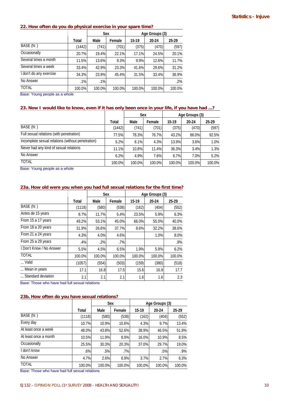| zz. How often do you do physical exercise in your spare time? |        |            |        |                |        |        |  |  |
|---------------------------------------------------------------|--------|------------|--------|----------------|--------|--------|--|--|
|                                                               |        | <b>Sex</b> |        | Age Groups (3) |        |        |  |  |
|                                                               | Total  | Male       | Female | $15-19$        | 20-24  | 25-29  |  |  |
| BASE (N: )                                                    | (1442) | (741)      | (701)  | (375)          | (470)  | (597)  |  |  |
| Occasionally                                                  | 20.7%  | 19.4%      | 22.1%  | 17.1%          | 24.5%  | 20.1%  |  |  |
| Several times a month                                         | 11.5%  | 13.6%      | 9.3%   | 9.9%           | 12.6%  | 11.7%  |  |  |
| Several times a week                                          | 33.4%  | 42.9%      | 23.3%  | 41.6%          | 29.6%  | 31.2%  |  |  |
| I don't do any exercise                                       | 34.3%  | 23.9%      | 45.4%  | 31.5%          | 33.4%  | 36.9%  |  |  |
| No Answer                                                     | .1%    | .1%        |        |                |        | $.2\%$ |  |  |
| <b>TOTAL</b>                                                  | 100.0% | 100.0%     | 100.0% | 100.0%         | 100.0% | 100.0% |  |  |

# **22. How often do you do physical exercise in your spare time?**

Base: Young people as a whole

# **23. Now I would like to know, even if it has only been once in your life, if you have had ...?**

|                                                   |        | Sex    |        | Age Groups (3) |        |        |
|---------------------------------------------------|--------|--------|--------|----------------|--------|--------|
|                                                   | Total  | Male   | Female | $15 - 19$      | 20-24  | 25 29  |
| BASE (N: )                                        | (1442) | (741)  | (701)  | (375)          | (470)  | (597)  |
| Full sexual relations (with penetration)          | 77.5%  | 78.3%  | 76.7%  | 43.2%          | 86.0%  | 92.5%  |
| Incomplete sexual relations (without penetration) | 5.2%   | 6.1%   | 4.3%   | 13.9%          | 3.6%   | 1.0%   |
| Never had any kind of sexual relations            | 11.1%  | 10.8%  | 11.4%  | 36.3%          | 3.4%   | 1.3%   |
| No Answer                                         | 6.2%   | 4.9%   | 7.6%   | 6.7%           | 7.0%   | 5.2%   |
| <b>TOTAL</b>                                      | 100.0% | 100.0% | 100.0% | 100.0%         | 100.0% | 100.0% |

Base: Young people as a whole

# **23a. How old were you when you had full sexual relations for the first time?**

|                          |        | <b>Sex</b> |        | Age Groups (3) |        |        |
|--------------------------|--------|------------|--------|----------------|--------|--------|
|                          | Total  | Male       | Female | 15-19          | 20-24  | 25-29  |
| BASE (N: )               | (1118) | (580)      | (538)  | (162)          | (404)  | (552)  |
| Antes de 15 years        | 8.7%   | 11.7%      | 5.4%   | 23.5%          | 5.9%   | 6.3%   |
| From 15 a 17 years       | 49.2%  | 53.1%      | 45.0%  | 66.0%          | 55.0%  | 40.0%  |
| From 18 a 20 years       | 31.9%  | 26.6%      | 37.7%  | 8.6%           | 32.2%  | 38.6%  |
| From 21 a 24 years       | 4.3%   | 4.0%       | 4.6%   |                | 1.0%   | 8.0%   |
| From 25 a 29 years       | .4%    | $.2\%$     | .7%    |                |        | .9%    |
| I Don't Know / No Answer | 5.5%   | 4.5%       | 6.5%   | 1.9%           | 5.9%   | 6.2%   |
| <b>TOTAL</b>             | 100.0% | 100.0%     | 100.0% | 100.0%         | 100.0% | 100.0% |
| Valid                    | (1057) | (554)      | (503)  | (159)          | (380)  | (518)  |
| Mean in years            | 17.1   | 16.8       | 17.5   | 15.6           | 16.9   | 17.7   |
| Standard deviation       | 2.1    | 2.1        | 2.1    | 1.6            | 1.6    | 2.3    |

Base: Those who have had full sexual relations

# **23b. How often do you have sexual relations?**

|                       |        | Sex    |        | Age Groups (3) |        |        |
|-----------------------|--------|--------|--------|----------------|--------|--------|
|                       | Total  | Male   | Female | 15-19          | 20-24  | 25 29  |
| BASE (N: )            | (1118) | (580)  | (538)  | (162)          | (404)  | (552)  |
| Every day             | 10.7%  | 10.9%  | 10.6%  | 4.3%           | 9.7%   | 13.4%  |
| At least once a week  | 48.0%  | 43.8%  | 52.6%  | 38.9%          | 46.5%  | 51.8%  |
| At least once a month | 10.5%  | 11.9%  | 8.9%   | 16.0%          | 10.9%  | 8.5%   |
| Occasionally          | 25.5%  | 30.3%  | 20.3%  | 37.0%          | 29.7%  | 19.0%  |
| I don't know          | .6%    | .5%    | .7%    |                | .5%    | .9%    |
| No Answer             | 4.7%   | 2.6%   | 6.9%   | 3.7%           | 2.7%   | 6.3%   |
| <b>TOTAL</b>          | 100.0% | 100.0% | 100.0% | 100.0%         | 100.0% | 100.0% |

Base: Those who have had full sexual relations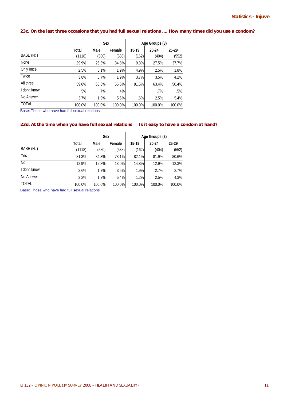# **23c. On the last three occasions that you had full sexual relations .... How many times did you use a condom?**

|                                                                                  |        | Sex         |        | Age Groups (3) |        |        |
|----------------------------------------------------------------------------------|--------|-------------|--------|----------------|--------|--------|
|                                                                                  | Total  | Male        | Female | $15 - 19$      | 20-24  | 25-29  |
| BASE (N: )                                                                       | (1118) | (580)       | (538)  | (162)          | (404)  | (552)  |
| None                                                                             | 29.9%  | 25.3%       | 34.8%  | 9.3%           | 27.5%  | 37.7%  |
| Only once                                                                        | 2.5%   | 3.1%        | 1.9%   | 4.9%           | 2.5%   | 1.8%   |
| Twice                                                                            | 3.8%   | 5.7%        | 1.9%   | 3.7%           | 3.5%   | 4.2%   |
| All three                                                                        | 59.6%  | 63.3%       | 55.6%  | 81.5%          | 63.4%  | 50.4%  |
| I don't know                                                                     | .5%    | .7%         | .4%    |                | $.7\%$ | .5%    |
| No Answer                                                                        | 3.7%   | 1.9%        | 5.6%   | .6%            | 2.5%   | 5.4%   |
| <b>TOTAL</b><br>$\sim$ $\sim$<br>$- - -$<br>$\cdots$ $\cdots$<br>$\cdot$ $\cdot$ | 100.0% | 100.0%<br>. | 100.0% | 100.0%         | 100.0% | 100.0% |

Base: Those who have had full sexual relations

# 23d. At the time when you have full sexual relations Is it easy to have a condom at hand?

|                |        | Sex    |        | Age Groups (3) |        |        |
|----------------|--------|--------|--------|----------------|--------|--------|
|                | Total  | Male   | Female | $15 - 19$      | 20-24  | 25-29  |
| BASE (N:)      | (1118) | (580)  | (538)  | (162)          | (404)  | (552)  |
| Yes            | 81.3%  | 84.3%  | 78.1%  | 82.1%          | 81.9%  | 80.6%  |
| N <sub>o</sub> | 12.9%  | 12.8%  | 13.0%  | 14.8%          | 12.9%  | 12.3%  |
| I don't know   | 2.6%   | 1.7%   | 3.5%   | 1.9%           | 2.7%   | 2.7%   |
| No Answer      | 3.2%   | 1.2%   | 5.4%   | 1.2%           | 2.5%   | 4.3%   |
| <b>TOTAL</b>   | 100.0% | 100.0% | 100.0% | 100.0%         | 100.0% | 100.0% |

Base: Those who have had full sexual relations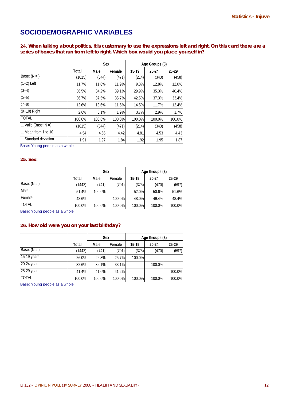# **SOCIODEMOGRAPHIC VARIABLES**

**24. When talking about politics, it is customary to use the expressions left and right. On this card there are a series of boxes that run from left to right. Which box would you place yourself in?** 

|                            |        | Sex    |        | Age Groups (3) |        |        |
|----------------------------|--------|--------|--------|----------------|--------|--------|
|                            | Total  | Male   | Female | 15-19          | 20-24  | 25-29  |
| Base: $(N = )$             | (1015) | (544)  | (471)  | (214)          | (343)  | (458)  |
| $(1+2)$ Left               | 11.7%  | 11.6%  | 11.9%  | 9.3%           | 12.8%  | 12.0%  |
| $(3+4)$                    | 36.5%  | 34.2%  | 39.1%  | 29.9%          | 35.3%  | 40.4%  |
| $(5+6)$                    | 36.7%  | 37.5%  | 35.7%  | 42.5%          | 37.3%  | 33.4%  |
| $(7+8)$                    | 12.6%  | 13.6%  | 11.5%  | 14.5%          | 11.7%  | 12.4%  |
| $(9+10)$ Right             | 2.6%   | 3.1%   | 1.9%   | 3.7%           | 2.9%   | 1.7%   |
| <b>TOTAL</b>               | 100.0% | 100.0% | 100.0% | 100.0%         | 100.0% | 100.0% |
| Valid (Base: $N =$ )       | (1015) | (544)  | (471)  | (214)          | (343)  | (458)  |
| $\ldots$ Mean from 1 to 10 | 4.54   | 4.65   | 4.42   | 4.81           | 4.53   | 4.43   |
| Standard deviation         | 1.91   | 1.97   | 1.84   | 1.92           | 1.95   | 1.87   |

Base: Young people as a whole

# **25. Sex:**

|                |        |        | Sex    | Age Groups (3) |        |        |  |
|----------------|--------|--------|--------|----------------|--------|--------|--|
|                | Total  | Male   | Female | 15-19          | 20-24  | 25 29  |  |
| Base: $(N = )$ | (1442) | (741)  | (701)  | (375)          | (470)  | (597)  |  |
| Male           | 51.4%  | 100.0% |        | 52.0%          | 50.6%  | 51.6%  |  |
| Female         | 48.6%  |        | 100.0% | 48.0%          | 49.4%  | 48.4%  |  |
| <b>TOTAL</b>   | 100.0% | 100.0% | 100.0% | 100.0%         | 100.0% | 100.0% |  |

Base: Young people as a whole

# **26. How old were you on your last birthday?**

|                |        |        | Sex    | Age Groups (3) |        |        |  |
|----------------|--------|--------|--------|----------------|--------|--------|--|
|                | Total  | Male   | Female | 15-19          | 20-24  | 25-29  |  |
| Base: $(N = )$ | (1442) | (741)  | (701)  | (375)          | (470)  | (597)  |  |
| 15-19 years    | 26.0%  | 26.3%  | 25.7%  | 100.0%         |        |        |  |
| 20-24 years    | 32.6%  | 32.1%  | 33.1%  |                | 100.0% |        |  |
| 25-29 years    | 41.4%  | 41.6%  | 41.2%  |                |        | 100.0% |  |
| TOTAL          | 100.0% | 100.0% | 100.0% | 100.0%         | 100.0% | 100.0% |  |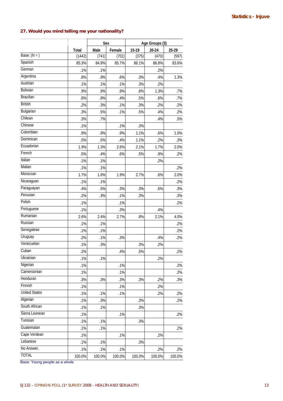# **27. Would you mind telling me your nationality?**

|                      |        | Sex    |        | Age Groups (3) |        |        |
|----------------------|--------|--------|--------|----------------|--------|--------|
|                      | Total  | Male   | Female | 15-19          | 20-24  | 25-29  |
| Base: $(N = )$       | (1442) | (741)  | (701)  | (375)          | (470)  | (597)  |
| Spanish              | 85.3%  | 84.9%  | 85.7%  | 86.1%          | 86.8%  | 83.6%  |
| German               | .1%    | .1%    |        |                | .2%    |        |
| Argentina            | .8%    | .9%    | .6%    | .3%            | .4%    | 1.3%   |
| Austrian             | .1%    | .1%    | .1%    | .3%            | .2%    |        |
| Bolivian             | .9%    | .9%    | .9%    | .8%            | 1.3%   | .7%    |
| <b>Brazilian</b>     | .6%    | .8%    | .4%    | .5%            | .6%    | .7%    |
| <b>British</b>       | .2%    | .3%    | .1%    | .3%            | .2%    | .2%    |
| Bulgarian            | .3%    | .5%    | .1%    | .5%            | .4%    | .2%    |
| Chilean              | .3%    | .7%    |        |                | .4%    | .5%    |
| Chinese              | .1%    |        | .1%    | .3%            |        |        |
| Colombian            | .9%    | .9%    | .9%    | 1.1%           | .6%    | 1.0%   |
| Dominican            | .5%    | .5%    | .4%    | 1.1%           | .2%    | .3%    |
| Ecuadorian           | 1.9%   | 1.3%   | 2.6%   | 2.1%           | 1.7%   | 2.0%   |
| French               | .5%    | .4%    | .6%    | .5%            | .9%    | .2%    |
| Italian              | .1%    | .1%    |        |                | .2%    |        |
| Malian               | .1%    | .1%    |        |                |        | .2%    |
| Moroccan             | 1.7%   | 1.6%   | 1.9%   | 2.7%           | .6%    | 2.0%   |
| Nicaraguan           | .1%    | .1%    |        |                |        | .2%    |
| Paraguayan           | .4%    | .5%    | .3%    | .3%            | .6%    | .3%    |
| Peruvian             | .2%    | .3%    | .1%    | .3%            |        | .3%    |
| Polish               | .1%    |        | .1%    |                |        | .2%    |
| Portuguese           | .1%    |        | .3%    |                | .4%    |        |
| Rumanian             | 2.6%   | 2.4%   | 2.7%   | .8%            | 2.1%   | 4.0%   |
| Russian              | .1%    | .1%    |        |                |        | .2%    |
| Senegalese           | .1%    | .1%    |        |                |        | .2%    |
| Uruguay              | .2%    | .1%    | .3%    |                | .4%    | .2%    |
| Venezuelan           | .1%    | .3%    |        | .3%            | .2%    |        |
| Cuban                | .2%    |        | .4%    | .5%            |        | .2%    |
| Ukrainian            | .1%    | .1%    |        |                | .2%    |        |
| Nigerian             | .1%    |        | .1%    |                |        | .2%    |
| Cameroonian          | .1%    |        | .1%    |                |        | .2%    |
| Honduran             | .3%    | .3%    | .3%    | .3%            | .2%    | .3%    |
| Finnish              | .1%    |        | .1%    |                | .2%    |        |
| <b>United States</b> | .1%    | .1%    | .1%    |                | .2%    | .2%    |
| Algerian             | .1%    | .3%    |        | .3%            |        | .2%    |
| South African        | .1%    | .1%    |        | .3%            |        |        |
| Sierra Leonean       | .1%    |        | .1%    |                |        | .2%    |
| Tunisian             | .1%    | .1%    |        | .3%            |        |        |
| Guatemalan           | .1%    | .1%    |        |                |        | .2%    |
| Cape Verdean         | .1%    |        | .1%    |                | .2%    |        |
| Lebanese             | .1%    | .1%    |        | .3%            |        |        |
| No Answer.           | .1%    | .1%    | .1%    |                | .2%    | .2%    |
| <b>TOTAL</b>         | 100.0% | 100.0% | 100.0% | 100.0%         | 100.0% | 100.0% |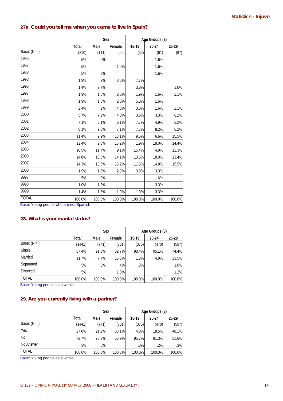# **27a. Could you tell me when you came to live in Spain?**

|                |        | Sex    |        | Age Groups (3) |        |        |  |
|----------------|--------|--------|--------|----------------|--------|--------|--|
|                | Total  | Male   | Female | 15-19          | 20-24  | 25-29  |  |
| Base: $(N = )$ | (210)  | (111)  | (99)   | (52)           | (61)   | (97)   |  |
| 1985           | .5%    | .9%    |        |                | 1.6%   |        |  |
| 1987           | .5%    |        | 1.0%   |                | 1.6%   |        |  |
| 1988           | .5%    | .9%    |        |                | 1.6%   |        |  |
| 1993           | 1.9%   | .9%    | 3.0%   | 7.7%           |        |        |  |
| 1996           | 1.4%   | 2.7%   |        | 3.8%           |        | 1.0%   |  |
| 1997           | 1.9%   | 1.8%   | 2.0%   | 1.9%           | 1.6%   | 2.1%   |  |
| 1998           | 1.9%   | 1.8%   | 2.0%   | 5.8%           | 1.6%   |        |  |
| 1999           | 2.4%   | .9%    | 4.0%   | 3.8%           | 1.6%   | 2.1%   |  |
| 2000           | 5.7%   | 7.2%   | 4.0%   | 3.8%           | 3.3%   | 8.2%   |  |
| 2001           | 7.1%   | 8.1%   | 6.1%   | 7.7%           | 4.9%   | 8.2%   |  |
| 2002           | 8.1%   | 9.0%   | 7.1%   | 7.7%           | 8.2%   | 8.2%   |  |
| 2003           | 11.4%  | 9.9%   | 13.1%  | 9.6%           | 6.6%   | 15.5%  |  |
| 2004           | 12.4%  | 9.0%   | 16.2%  | 1.9%           | 18.0%  | 14.4%  |  |
| 2005           | 10.5%  | 11.7%  | 9.1%   | 15.4%          | 4.9%   | 11.3%  |  |
| 2006           | 14.8%  | 15.3%  | 14.1%  | 13.5%          | 18.0%  | 13.4%  |  |
| 2007           | 14.3%  | 13.5%  | 15.2%  | 11.5%          | 14.8%  | 15.5%  |  |
| 2008           | 1.9%   | 1.8%   | 2.0%   | 3.8%           | 3.3%   |        |  |
| 9997           | .5%    | .9%    |        |                | 1.6%   |        |  |
| 9998           | 1.0%   | 1.8%   |        |                | 3.3%   |        |  |
| 9999           | 1.4%   | 1.8%   | 1.0%   | 1.9%           | 3.3%   |        |  |
| <b>TOTAL</b>   | 100.0% | 100.0% | 100.0% | 100.0%         | 100.0% | 100.0% |  |

Base: Young people who are not Spanish

# **28. What is your marital status?**

|                 |        |        | <b>Sex</b> | Age Groups (3) |        |        |  |
|-----------------|--------|--------|------------|----------------|--------|--------|--|
|                 | Total  | Male   | Female     | $15 - 19$      | 20-24  | 25-29  |  |
| Base: $(N = )$  | (1442) | (741)  | (701)      | (375)          | (470)  | (597)  |  |
| Single          | 87.4%  | 91.8%  | 82.7%      | 98.4%          | 95.1%  | 74.4%  |  |
| Married         | 11.7%  | 7.7%   | 15.8%      | 1.3%           | 4.9%   | 23.5%  |  |
| Separated       | .5%    | .5%    | .4%        | .3%            |        | 1.0%   |  |
| <b>Divorced</b> | .5%    |        | 1.0%       |                |        | 1.2%   |  |
| <b>TOTAL</b>    | 100.0% | 100.0% | 100.0%     | 100.0%         | 100.0% | 100.0% |  |

Base: Young people as a whole

# **29. Are you currently living with a partner?**

|                |        |        | <b>Sex</b> | Age Groups (3) |        |        |  |
|----------------|--------|--------|------------|----------------|--------|--------|--|
|                | Total  | Male   | Female     | 15-19          | 20-24  | 25-29  |  |
| Base: $(N = )$ | (1442) | (741)  | (701)      | (375)          | (470)  | (597)  |  |
| Yes            | 27.0%  | 21.2%  | 33.1%      | 4.0%           | 18.5%  | 48.1%  |  |
| <b>No</b>      | 72.7%  | 78.3%  | 66.9%      | 95.7%          | 81.3%  | 51.6%  |  |
| No Answer      | .3%    | .5%    |            | $.3\%$         | $.2\%$ | .3%    |  |
| <b>TOTAL</b>   | 100.0% | 100.0% | 100.0%     | 100.0%         | 100.0% | 100.0% |  |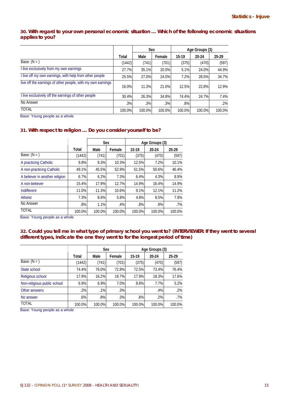# **30. With regard to your own personal economic situation … Which of the following economic situations applies to you?**

|                                                             |        | Sex    |        | Age Groups (3) |        |        |
|-------------------------------------------------------------|--------|--------|--------|----------------|--------|--------|
|                                                             | Total  | Male   | Female | 15-19          | 20 24  | 25 29  |
| Base: $(N = )$                                              | (1442) | (741)  | (701)  | (375)          | (470)  | (597)  |
| I live exclusively from my own earnings                     | 27.7%  | 35.1%  | 20.0%  | 5.1%           | 24.0%  | 44.9%  |
| I live off my own earnings, with help from other people     | 25.5%  | 27.0%  | 24.0%  | 7.2%           | 28.5%  | 34.7%  |
| live off the earnings of other people, with my own earnings | 16.0%  | 11.3%  | 21.0%  | 12.5%          | 22.8%  | 12.9%  |
| I live exclusively off the earnings of other people         | 30.4%  | 26.3%  | 34.8%  | 74.4%          | 24.7%  | 7.4%   |
| No Answer                                                   | .3%    | .3%    | .3%    | $.8\%$         |        | $.2\%$ |
| <b>TOTAL</b>                                                | 100.0% | 100.0% | 100.0% | 100.0%         | 100.0% | 100.0% |

Base: Young people as a whole

# **31. With respect to religion … Do you consider yourself to be?**

|                                |        | Sex    |        | Age Groups (3) |        |        |  |
|--------------------------------|--------|--------|--------|----------------|--------|--------|--|
|                                | Total  | Male   | Female | 15-19          | 20-24  | 25 29  |  |
| Base: $(N = )$                 | (1442) | (741)  | (701)  | (375)          | (470)  | (597)  |  |
| A practicing Catholic          | 9.8%   | 9.3%   | 10.3%  | 12.5%          | 7.2%   | 10.1%  |  |
| A non-practicing Catholic      | 49.1%  | 45.5%  | 52.9%  | 51.5%          | 50.6%  | 46.4%  |  |
| A believer in another religion | 6.7%   | 6.2%   | 7.3%   | 6.4%           | 4.3%   | 8.9%   |  |
| A non-believer                 | 15.4%  | 17.9%  | 12.7%  | 14.9%          | 16.4%  | 14.9%  |  |
| Indifferent                    | 11.0%  | 11.3%  | 10.6%  | 9.1%           | 12.1%  | 11.2%  |  |
| Atheist                        | 7.3%   | 8.6%   | 5.8%   | 4.8%           | 8.5%   | 7.9%   |  |
| No Answer                      | .8%    | 1.1%   | .4%    | .8%            | .9%    | .7%    |  |
| <b>TOTAL</b>                   | 100.0% | 100.0% | 100.0% | 100.0%         | 100.0% | 100.0% |  |

Base: Young people as a whole

# **32. Could you tell me in what type of primary school you went to? (INTERVIEWER: If they went to several different types, indicate the one they went to for the longest period of time)**

|                             |        |        | Sex    | Age Groups (3) |        |        |  |  |  |  |
|-----------------------------|--------|--------|--------|----------------|--------|--------|--|--|--|--|
|                             | Total  | Male   | Female | 15 19          | 20-24  | 25 29  |  |  |  |  |
| Base: $(N = )$              | (1442) | (741)  | (701)  | (375)          | (470)  | (597)  |  |  |  |  |
| State school                | 74.4%  | 76.0%  | 72.8%  | 72.5%          | 73.4%  | 76.4%  |  |  |  |  |
| Religious school            | 17.9%  | 16.2%  | 19.7%  | 17.9%          | 18.3%  | 17.6%  |  |  |  |  |
| Non-religious public school | 6.9%   | 6.9%   | 7.0%   | 8.8%           | 7.7%   | 5.2%   |  |  |  |  |
| Other answers               | .2%    | .1%    | .3%    |                | .4%    | $.2\%$ |  |  |  |  |
| No answer                   | .6%    | .8%    | .3%    | .8%            | .2%    | .7%    |  |  |  |  |
| <b>TOTAL</b>                | 100.0% | 100.0% | 100.0% | 100.0%         | 100.0% | 100.0% |  |  |  |  |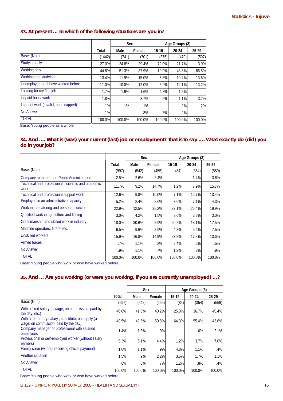# **33. At present … In which of the following situations are you in?**

|                                      |        | Sex    |        | Age Groups (3) |        |        |
|--------------------------------------|--------|--------|--------|----------------|--------|--------|
|                                      | Total  | Male   | Female | $15 - 19$      | 20-24  | 25-29  |
| Base: $(N = )$                       | (1442) | (741)  | (701)  | (375)          | (470)  | (597)  |
| Studying only                        | 27.0%  | 24.8%  | 29.4%  | 72.0%          | 21.7%  | 3.0%   |
| Working only                         | 44.8%  | 51.3%  | 37.9%  | 10.9%          | 43.8%  | 66.8%  |
| Working and studying                 | 13.4%  | 11.9%  | 15.0%  | 5.6%           | 19.4%  | 13.6%  |
| Unemployed but I have worked before  | 11.0%  | 10.0%  | 12.0%  | 5.9%           | 12.1%  | 13.2%  |
| Looking for my first job             | 1.7%   | 1.9%   | 1.6%   | 4.8%           | 1.5%   |        |
| <b>Unpaid housework</b>              | 1.8%   |        | 3.7%   | .5%            | 1.1%   | 3.2%   |
| I cannot work (invalid, handicapped) | .1%    | .1%    | .1%    |                | .2%    | $.2\%$ |
| <b>No Answer</b>                     | .1%    |        | .3%    | .3%            | .2%    |        |
| <b>TOTAL</b>                         | 100.0% | 100.0% | 100.0% | 100.0%         | 100.0% | 100.0% |

Base: Young people as a whole

# **34. And …. What is (was) your current (last) job or employment? That is to say …. What exactly do (did) you do in your job?**

|                                                             |        | Sex    |        | Age Groups (3) |        |        |
|-------------------------------------------------------------|--------|--------|--------|----------------|--------|--------|
|                                                             | Total  | Male   | Female | 15-19          | 20-24  | 25 29  |
| Base: $(N = )$                                              | (997)  | (542)  | (455)  | (84)           | (354)  | (559)  |
| Company manager and Public Administration                   | 2.5%   | 2.6%   | 2.4%   |                | 1.4%   | 3.6%   |
| Technical and professional, scientific and academic<br>work | 11.7%  | 9.2%   | 14.7%  | 1.2%           | 7.9%   | 15.7%  |
| Technical and professional support work                     | 12.6%  | 9.8%   | 16.0%  | 7.1%           | 12.7%  | 13.4%  |
| Employed in an administrative capacity                      | 5.2%   | 2.4%   | 8.6%   | 3.6%           | 7.1%   | 4.3%   |
| Work in the catering and personnel sector                   | 22.9%  | 12.5%  | 35.2%  | 32.1%          | 25.4%  | 19.9%  |
| Qualified work in agriculture and fishing                   | 3.0%   | 4.2%   | 1.5%   | 3.6%           | 2.8%   | 3.0%   |
| Craftsmanship and skilled work in industry                  | 18.0%  | 30.6%  | 2.9%   | 20.2%          | 18.1%  | 17.5%  |
| Machine operators, fitters, etc.                            | 6.5%   | 9.6%   | 2.9%   | 4.8%           | 5.4%   | 7.5%   |
| <b>Unskilled workers</b>                                    | 15.9%  | 16.8%  | 14.9%  | 23.8%          | 17.8%  | 13.6%  |
| Armed forces                                                | .7%    | 1.1%   | $.2\%$ | 2.4%           | $.6\%$ | .5%    |
| <b>No Answer</b>                                            | .9%    | 1.1%   | .7%    | 1.2%           | $.8\%$ | .9%    |
| <b>TOTAL</b>                                                | 100.0% | 100.0% | 100.0% | 100.0%         | 100.0% | 100.0% |

Base: Young people who work or who have worked before

# **35. And … Are you working (or were you working, if you are currently unemployed) …?**

|                                                                                            |        | Sex    |        | Age Groups (3) |        |        |
|--------------------------------------------------------------------------------------------|--------|--------|--------|----------------|--------|--------|
|                                                                                            | Total  | Male   | Female | $15-19$        | 20-24  | 25-29  |
| Base: $(N = )$                                                                             | (997)  | (542)  | (455)  | (84)           | (354)  | (559)  |
| With a fixed salary (a wage, on commission, paid by<br>the day, etc.)                      | 40.6%  | 41.0%  | 40.2%  | 25.0%          | 36.7%  | 45.4%  |
| With a temporary salary, substitute, on supply (a<br>wage, on commission, paid by the day) | 49.5%  | 48.5%  | 50.8%  | 64.3%          | 55.4%  | 43.6%  |
| Company manager or professional with salaried<br>employees                                 | 1.4%   | 1.8%   | .9%    |                | .6%    | 2.1%   |
| Professional or self-employed worker (without salary<br>earners)                           | 5.3%   | 6.1%   | 4.4%   | 1.2%           | 3.7%   | 7.0%   |
| Family carer (without receiving official payment)                                          | 1.0%   | 1.1%   | .9%    | 4.8%           | 1.1%   | .4%    |
| Another situation                                                                          | 1.5%   | .9%    | 2.2%   | 3.6%           | 1.7%   | 1.1%   |
| No Answer                                                                                  | $.6\%$ | $.6\%$ | .7%    | 1.2%           | $.8\%$ | .4%    |
| <b>TOTAL</b>                                                                               | 100.0% | 100.0% | 100.0% | 100.0%         | 100.0% | 100.0% |

Base: Young people who work or who have worked before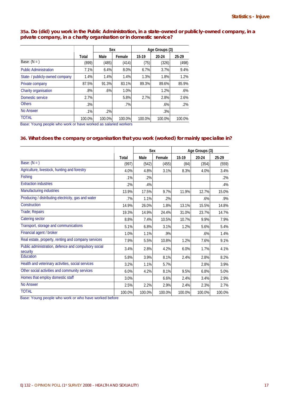**35a. Do (did) you work in the Public Administration, in a state-owned or publicly-owned company, in a private company, in a charity organisation or in domestic service?** 

|                                 |        | Sex    |        | Age Groups (3) |        |        |  |
|---------------------------------|--------|--------|--------|----------------|--------|--------|--|
|                                 | Total  | Male   | Female | 15-19          | 20-24  | 25 29  |  |
| Base: $(N = )$                  | (899)  | (485)  | (414)  | (75)           | (326)  | (498)  |  |
| <b>Public Administration</b>    | 7.1%   | 6.4%   | 8.0%   | 6.7%           | 3.7%   | 9.4%   |  |
| State- / publicly-owned company | 1.4%   | 1.4%   | 1.4%   | 1.3%           | 1.8%   | 1.2%   |  |
| Private company                 | 87.5%  | 91.3%  | 83.1%  | 89.3%          | 89.6%  | 85.9%  |  |
| Charity organisation            | .8%    | .6%    | 1.0%   |                | 1.2%   | $.6\%$ |  |
| Domestic service                | 2.7%   |        | 5.8%   | 2.7%           | 2.8%   | 2.6%   |  |
| <b>Others</b>                   | .3%    |        | .7%    |                | $.6\%$ | $.2\%$ |  |
| No Answer                       | .1%    | .2%    |        |                | .3%    |        |  |
| <b>TOTAL</b><br>$\sim$ $\sim$   | 100.0% | 100.0% | 100.0% | 100.0%         | 100.0% | 100.0% |  |

Base: Young people who work or have worked as salaried workers

# **36. What does the company or organisation that you work (worked) for mainly specialise in?**

|                                                                  |        | Sex    |        | Age Groups (3) |        |        |
|------------------------------------------------------------------|--------|--------|--------|----------------|--------|--------|
|                                                                  | Total  | Male   | Female | 15-19          | 20-24  | 25-29  |
| Base: $(N = )$                                                   | (997)  | (542)  | (455)  | (84)           | (354)  | (559)  |
| Agriculture, livestock, hunting and forestry                     | 4.0%   | 4.8%   | 3.1%   | 8.3%           | 4.0%   | 3.4%   |
| Fishing                                                          | .1%    | .2%    |        |                |        | $.2\%$ |
| <b>Extraction industries</b>                                     | .2%    | .4%    |        |                |        | .4%    |
| Manufacturing industries                                         | 13.9%  | 17.5%  | 9.7%   | 11.9%          | 12.7%  | 15.0%  |
| Producing / distributing electricity, gas and water              | .7%    | 1.1%   | .2%    |                | .6%    | .9%    |
| Construction                                                     | 14.9%  | 26.0%  | 1.8%   | 13.1%          | 15.5%  | 14.8%  |
| Trade; Repairs                                                   | 19.3%  | 14.9%  | 24.4%  | 31.0%          | 23.7%  | 14.7%  |
| Catering sector                                                  | 8.8%   | 7.4%   | 10.5%  | 10.7%          | 9.9%   | 7.9%   |
| Transport, storage and communications                            | 5.1%   | 6.8%   | 3.1%   | 1.2%           | 5.6%   | 5.4%   |
| Financial agent / broker                                         | 1.0%   | 1.1%   | .9%    |                | .6%    | 1.4%   |
| Real estate, property, renting and company services              | 7.9%   | 5.5%   | 10.8%  | 1.2%           | 7.6%   | 9.1%   |
| Public administration, defence and compulsory social<br>security | 3.4%   | 2.8%   | 4.2%   | 6.0%           | 1.7%   | 4.1%   |
| Education                                                        | 5.8%   | 3.9%   | 8.1%   | 2.4%           | 2.8%   | 8.2%   |
| Health and veterinary activities, social services                | 3.2%   | 1.1%   | 5.7%   |                | 2.8%   | 3.9%   |
| Other social activities and community services                   | 6.0%   | 4.2%   | 8.1%   | 9.5%           | 6.8%   | 5.0%   |
| Homes that employ domestic staff                                 | 3.0%   |        | 6.6%   | 2.4%           | 3.4%   | 2.9%   |
| <b>No Answer</b>                                                 | 2.5%   | 2.2%   | 2.9%   | 2.4%           | 2.3%   | 2.7%   |
| <b>TOTAL</b>                                                     | 100.0% | 100.0% | 100.0% | 100.0%         | 100.0% | 100.0% |

Base: Young people who work or who have worked before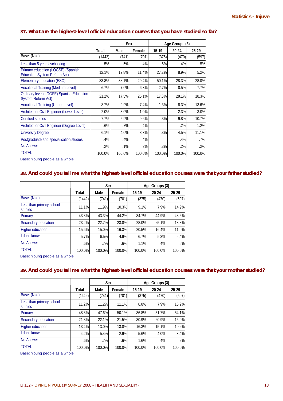# **37. What are the highest-level official education courses that you have studied so far?**

|                                                                           |        | Sex    |        | Age Groups (3) |        |        |
|---------------------------------------------------------------------------|--------|--------|--------|----------------|--------|--------|
|                                                                           | Total  | Male   | Female | 15-19          | 20 24  | 25.29  |
| Base: $(N = )$                                                            | (1442) | (741)  | (701)  | (375)          | (470)  | (597)  |
| Less than 5 years' schooling                                              | .5%    | .5%    | .4%    | .5%            | .4%    | .5%    |
| Primary education (LOGSE) (Spanish<br><b>Education System Reform Act)</b> | 12.1%  | 12.8%  | 11.4%  | 27.2%          | 8.9%   | 5.2%   |
| Elementary education (ESO)                                                | 33.8%  | 38.1%  | 29.4%  | 50.1%          | 28.3%  | 28.0%  |
| <b>Vocational Training (Medium Level)</b>                                 | 6.7%   | 7.0%   | 6.3%   | 2.7%           | 8.5%   | 7.7%   |
| Ordinary level (LOGSE) Spanish Education<br><b>System Reform Act)</b>     | 21.2%  | 17.5%  | 25.1%  | 17.3%          | 28.1%  | 18.3%  |
| <b>Vocational Training (Upper Level)</b>                                  | 8.7%   | 9.9%   | 7.4%   | 1.3%           | 8.3%   | 13.6%  |
| Architect or Civil Engineer (Lower Level)                                 | 2.0%   | 3.0%   | 1.0%   |                | 2.3%   | 3.0%   |
| <b>Certified studies</b>                                                  | 7.7%   | 5.9%   | 9.6%   | .3%            | 9.8%   | 10.7%  |
| Architect or Civil Engineer (Degree Level)                                | .6%    | .7%    | .4%    |                | $.2\%$ | 1.2%   |
| <b>University Degree</b>                                                  | 6.1%   | 4.0%   | 8.3%   | .3%            | 4.5%   | 11.1%  |
| Postgraduate and specialisation studies                                   | .4%    | .4%    | .4%    |                | .4%    | .7%    |
| No Answer                                                                 | .2%    | .1%    | .3%    | .3%            | .2%    | $.2\%$ |
| <b>TOTAL</b>                                                              | 100.0% | 100.0% | 100.0% | 100.0%         | 100.0% | 100.0% |

Base: Young people as a whole

# **38. And could you tell me what the highest-level official education courses were that your father studied?**

|                                     |        | Sex    |        | Age Groups (3) |        |        |  |
|-------------------------------------|--------|--------|--------|----------------|--------|--------|--|
|                                     | Total  | Male   | Female | 15-19          | 20-24  | 25-29  |  |
| Base: $(N = )$                      | (1442) | (741)  | (701)  | (375)          | (470)  | (597)  |  |
| Less than primary school<br>studies | 11.1%  | 11.9%  | 10.3%  | 9.1%           | 7.9%   | 14.9%  |  |
| Primary                             | 43.8%  | 43.3%  | 44.2%  | 34.7%          | 44.9%  | 48.6%  |  |
| Secondary education                 | 23.2%  | 22.7%  | 23.8%  | 28.0%          | 25.1%  | 18.8%  |  |
| <b>Higher education</b>             | 15.6%  | 15.0%  | 16.3%  | 20.5%          | 16.4%  | 11.9%  |  |
| I don't know                        | 5.7%   | 6.5%   | 4.9%   | 6.7%           | 5.3%   | 5.4%   |  |
| <b>No Answer</b>                    | .6%    | .7%    | .6%    | 1.1%           | .4%    | .5%    |  |
| <b>TOTAL</b>                        | 100.0% | 100.0% | 100.0% | 100.0%         | 100.0% | 100.0% |  |

Base: Young people as a whole

# **39. And could you tell me what the highest-level official education courses were that your mother studied?**

|                                     |        | Sex    |        | Age Groups (3) |        |        |  |
|-------------------------------------|--------|--------|--------|----------------|--------|--------|--|
|                                     | Total  | Male   | Female | 15-19          | 20-24  | 25-29  |  |
| Base: $(N = )$                      | (1442) | (741)  | (701)  | (375)          | (470)  | (597)  |  |
| Less than primary school<br>studies | 11.2%  | 11.2%  | 11.1%  | 8.8%           | 7.9%   | 15.2%  |  |
| Primary                             | 48.8%  | 47.6%  | 50.1%  | 36.8%          | 51.7%  | 54.1%  |  |
| Secondary education                 | 21.8%  | 22.1%  | 21.5%  | 30.9%          | 20.9%  | 16.9%  |  |
| <b>Higher education</b>             | 13.4%  | 13.0%  | 13.8%  | 16.3%          | 15.1%  | 10.2%  |  |
| I don't know                        | 4.2%   | 5.4%   | 2.9%   | 5.6%           | 4.0%   | 3.4%   |  |
| <b>No Answer</b>                    | .6%    | .7%    | .6%    | 1.6%           | .4%    | .2%    |  |
| <b>TOTAL</b>                        | 100.0% | 100.0% | 100.0% | 100.0%         | 100.0% | 100.0% |  |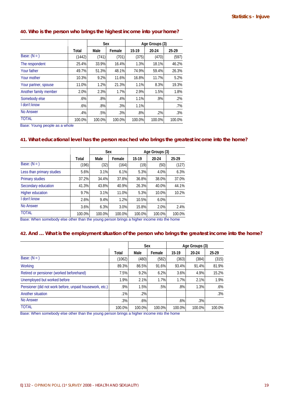# **Statistics - Injuve**

# **40. Who is the person who brings the highest income into your home?**

|                       |        | <b>Sex</b> |        |        | Age Groups (3) |        |  |  |
|-----------------------|--------|------------|--------|--------|----------------|--------|--|--|
|                       | Total  | Male       | Female | 15-19  | 20-24          | 25-29  |  |  |
| Base: $(N = )$        | (1442) | (741)      | (701)  | (375)  | (470)          | (597)  |  |  |
| The respondent        | 25.4%  | 33.9%      | 16.4%  | 1.3%   | 18.1%          | 46.2%  |  |  |
| Your father           | 49.7%  | 51.3%      | 48.1%  | 74.9%  | 59.4%          | 26.3%  |  |  |
| Your mother           | 10.3%  | 9.2%       | 11.6%  | 16.8%  | 11.7%          | 5.2%   |  |  |
| Your partner, spouse  | 11.0%  | 1.2%       | 21.3%  | 1.1%   | 8.3%           | 19.3%  |  |  |
| Another family member | 2.0%   | 2.3%       | 1.7%   | 2.9%   | 1.5%           | 1.8%   |  |  |
| Somebody else         | .6%    | .8%        | .4%    | 1.1%   | .9%            | .2%    |  |  |
| I don't know          | .6%    | .8%        | .3%    | 1.1%   |                | .7%    |  |  |
| No Answer             | .4%    | .5%        | .3%    | .8%    | .2%            | .3%    |  |  |
| <b>TOTAL</b>          | 100.0% | 100.0%     | 100.0% | 100.0% | 100.0%         | 100.0% |  |  |

Base: Young people as a whole

# **41. What educational level has the person reached who brings the greatest income into the home?**

|                           |        | Sex    |        | Age Groups (3) |        |        |  |
|---------------------------|--------|--------|--------|----------------|--------|--------|--|
|                           | Total  | Male   | Female | 15-19          | 20 24  | 25-29  |  |
| Base: $(N = )$            | (196)  | (32)   | (164)  | (19)           | (50)   | (127)  |  |
| Less than primary studies | 5.6%   | 3.1%   | 6.1%   | 5.3%           | 4.0%   | 6.3%   |  |
| <b>Primary studies</b>    | 37.2%  | 34.4%  | 37.8%  | 36.8%          | 38.0%  | 37.0%  |  |
| Secondary education       | 41.3%  | 43.8%  | 40.9%  | 26.3%          | 40.0%  | 44.1%  |  |
| <b>Higher education</b>   | 9.7%   | 3.1%   | 11.0%  | 5.3%           | 10.0%  | 10.2%  |  |
| I don't know              | 2.6%   | 9.4%   | 1.2%   | 10.5%          | 6.0%   |        |  |
| <b>No Answer</b>          | 3.6%   | 6.3%   | 3.0%   | 15.8%          | 2.0%   | 2.4%   |  |
| <b>TOTAL</b>              | 100.0% | 100.0% | 100.0% | 100.0%         | 100.0% | 100.0% |  |

Base: When somebody else other than the young person brings a higher income into the home

# **42. And … What is the employment situation of the person who brings the greatest income into the home?**

|                                                         |        | Sex    |        | Age Groups (3) |        |        |
|---------------------------------------------------------|--------|--------|--------|----------------|--------|--------|
|                                                         | Total  | Male   | Female | 15-19          | 20-24  | 25.29  |
| Base: $(N = )$                                          | (1062) | (480)  | (582)  | (363)          | (384)  | (315)  |
| Working                                                 | 89.3%  | 86.5%  | 91.6%  | 93.4%          | 91.4%  | 81.9%  |
| Retired or pensioner (worked beforehand)                | 7.5%   | 9.2%   | 6.2%   | 3.6%           | 4.9%   | 15.2%  |
| Unemployed but worked before                            | 1.9%   | 2.1%   | 1.7%   | 1.7%           | 2.1%   | 1.9%   |
| Pensioner (did not work before, unpaid housework, etc.) | .9%    | 1.5%   | .5%    | .8%            | 1.3%   | .6%    |
| Another situation                                       | .1%    | .2%    |        |                |        | .3%    |
| <b>No Answer</b>                                        | .3%    | $.6\%$ |        | $.6\%$         | .3%    |        |
| <b>TOTAL</b>                                            | 100.0% | 100.0% | 100.0% | 100.0%         | 100.0% | 100.0% |

Base: When somebody else other than the young person brings a higher income into the home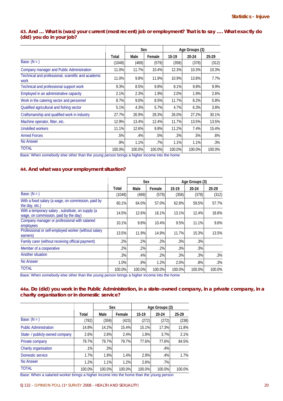# **43. And … What is (was) your current (most recent) job or employment? That is to say …. What exactly do (did) you do in your job?**

|                                                             |        | Sex    |        | Age Groups (3) |        |        |
|-------------------------------------------------------------|--------|--------|--------|----------------|--------|--------|
|                                                             | Total  | Male   | Female | 15-19          | 20-24  | 25-29  |
| Base: $(N = )$                                              | (1048) | (469)  | (579)  | (358)          | (378)  | (312)  |
| Company manager and Public Administration                   | 11.0%  | 11.7%  | 10.4%  | 12.3%          | 10.3%  | 10.3%  |
| Technical and professional, scientific and academic<br>work | 11.0%  | 9.8%   | 11.9%  | 10.9%          | 13.8%  | 7.7%   |
| Technical and professional support work                     | 9.3%   | 8.5%   | 9.8%   | 8.1%           | 9.8%   | 9.9%   |
| Employed in an administrative capacity                      | 2.1%   | 2.3%   | 1.9%   | 2.0%           | 1.9%   | 2.6%   |
| Work in the catering sector and personnel                   | 8.7%   | 9.0%   | 8.5%   | 11.7%          | 8.2%   | 5.8%   |
| Qualified agricultural and fishing sector                   | 5.1%   | 4.3%   | 5.7%   | 4.7%           | 6.3%   | 3.8%   |
| Craftsmanship and qualified work in industry                | 27.7%  | 26.9%  | 28.3%  | 26.0%          | 27.2%  | 30.1%  |
| Machine operator, fitter, etc.                              | 12.9%  | 13.4%  | 12.4%  | 11.7%          | 13.5%  | 13.5%  |
| Unskilled workers                                           | 11.1%  | 12.6%  | 9.8%   | 11.2%          | 7.4%   | 15.4%  |
| <b>Armed Forces</b>                                         | .5%    | .4%    | .5%    | .3%            | .5%    | $.6\%$ |
| <b>No Answer</b>                                            | .9%    | 1.1%   | .7%    | 1.1%           | 1.1%   | $.3\%$ |
| <b>TOTAL</b>                                                | 100.0% | 100.0% | 100.0% | 100.0%         | 100.0% | 100.0% |

Base: When somebody else other than the young person brings a higher income into the home

# **44. And what was your employment situation?**

|                                                                                            |        | Sex    |        |        | Age Groups (3) |        |
|--------------------------------------------------------------------------------------------|--------|--------|--------|--------|----------------|--------|
|                                                                                            | Total  | Male   | Female | 15-19  | 20-24          | 25-29  |
| Base: $(N = )$                                                                             | (1048) | (469)  | (579)  | (358)  | (378)          | (312)  |
| With a fixed salary (a wage, on commission, paid by<br>the day, etc.)                      | 60.1%  | 64.0%  | 57.0%  | 62.8%  | 59.5%          | 57.7%  |
| With a temporary salary, substitute, on supply (a<br>wage, on commission, paid by the day) | 14.5%  | 12.6%  | 16.1%  | 13.1%  | 12.4%          | 18.6%  |
| Company manager or professional with salaried<br>employees                                 | 10.1%  | 9.8%   | 10.4%  | 9.5%   | 11.1%          | 9.6%   |
| Professional or self-employed worker (without salary<br>earners)                           | 13.5%  | 11.9%  | 14.9%  | 11.7%  | 15.3%          | 13.5%  |
| Family carer (without receiving official payment)                                          | .2%    | .2%    | $.2\%$ | .3%    | .3%            |        |
| Member of a cooperative                                                                    | $.2\%$ | .2%    | $.2\%$ | .3%    | .3%            |        |
| Another situation                                                                          | $.3\%$ | .4%    | $.2\%$ | .3%    | .3%            | .3%    |
| <b>No Answer</b>                                                                           | 1.0%   | .9%    | 1.2%   | 2.0%   | .8%            | .3%    |
| <b>TOTAL</b>                                                                               | 100.0% | 100.0% | 100.0% | 100.0% | 100.0%         | 100.0% |

Base: When somebody else other than the young person brings a higher income into the home

# **44a. Do (did) you work in the Public Administration, in a state-owned company, in a private company, in a charity organisation or in domestic service?**

|                                                                                                                                                   |        | Sex    |        | Age Groups (3) |        |        |  |
|---------------------------------------------------------------------------------------------------------------------------------------------------|--------|--------|--------|----------------|--------|--------|--|
|                                                                                                                                                   | Total  | Male   | Female | $15-19$        | 20-24  | 25 29  |  |
| Base: $(N = )$                                                                                                                                    | (782)  | (359)  | (423)  | (272)          | (272)  | (238)  |  |
| <b>Public Administration</b>                                                                                                                      | 14.8%  | 14.2%  | 15.4%  | 15.1%          | 17.3%  | 11.8%  |  |
| State- / publicly-owned company                                                                                                                   | 2.6%   | 2.8%   | 2.4%   | 1.8%           | 3.7%   | 2.1%   |  |
| Private company                                                                                                                                   | 79.7%  | 79.7%  | 79.7%  | 77.6%          | 77.6%  | 84.5%  |  |
| Charity organisation                                                                                                                              | .1%    | .3%    |        |                | .4%    |        |  |
| Domestic service                                                                                                                                  | 1.7%   | 1.9%   | 1.4%   | 2.9%           | .4%    | 1.7%   |  |
| No Answer                                                                                                                                         | 1.2%   | 1.1%   | 1.2%   | 2.6%           | .7%    |        |  |
| <b>TOTAL</b><br><b>IN</b> a compatible to a contract and contract the contract of the contract of the contract of the contract of the contract of | 100.0% | 100.0% | 100.0% | 100.0%         | 100.0% | 100.0% |  |

Base: When a salaried worker brings a higher income into the home than the young person